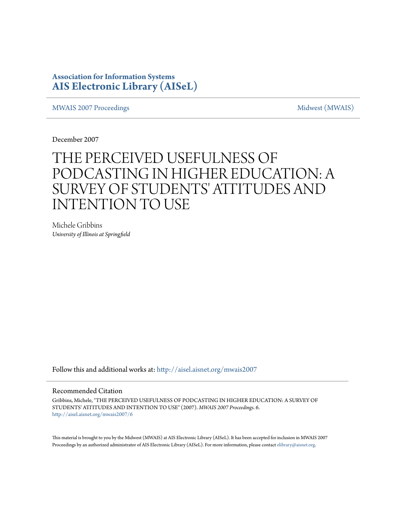# **Association for Information Systems [AIS Electronic Library \(AISeL\)](http://aisel.aisnet.org?utm_source=aisel.aisnet.org%2Fmwais2007%2F6&utm_medium=PDF&utm_campaign=PDFCoverPages)**

[MWAIS 2007 Proceedings](http://aisel.aisnet.org/mwais2007?utm_source=aisel.aisnet.org%2Fmwais2007%2F6&utm_medium=PDF&utm_campaign=PDFCoverPages) and the matrix of the [Midwest \(MWAIS\)](http://aisel.aisnet.org/mwais?utm_source=aisel.aisnet.org%2Fmwais2007%2F6&utm_medium=PDF&utm_campaign=PDFCoverPages)

December 2007

# THE PERCEIVED USEFULNESS OF PODCASTING IN HIGHER EDUCATION: A SURVEY OF STUDENTS' ATTITUDES AND INTENTION TO USE

Michele Gribbins *University of Illinois at Springfield*

Follow this and additional works at: [http://aisel.aisnet.org/mwais2007](http://aisel.aisnet.org/mwais2007?utm_source=aisel.aisnet.org%2Fmwais2007%2F6&utm_medium=PDF&utm_campaign=PDFCoverPages)

#### Recommended Citation

Gribbins, Michele, "THE PERCEIVED USEFULNESS OF PODCASTING IN HIGHER EDUCATION: A SURVEY OF STUDENTS' ATTITUDES AND INTENTION TO USE" (2007). *MWAIS 2007 Proceedings*. 6. [http://aisel.aisnet.org/mwais2007/6](http://aisel.aisnet.org/mwais2007/6?utm_source=aisel.aisnet.org%2Fmwais2007%2F6&utm_medium=PDF&utm_campaign=PDFCoverPages)

This material is brought to you by the Midwest (MWAIS) at AIS Electronic Library (AISeL). It has been accepted for inclusion in MWAIS 2007 Proceedings by an authorized administrator of AIS Electronic Library (AISeL). For more information, please contact [elibrary@aisnet.org](mailto:elibrary@aisnet.org%3E).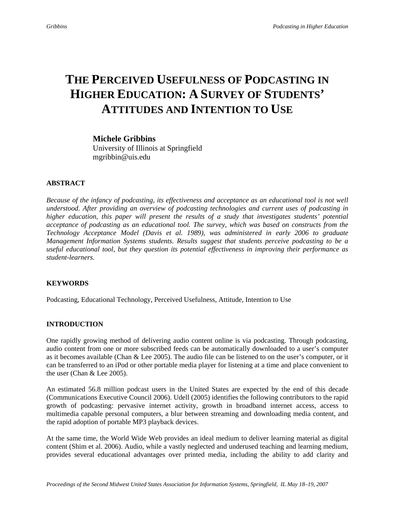# **THE PERCEIVED USEFULNESS OF PODCASTING IN HIGHER EDUCATION: A SURVEY OF STUDENTS' ATTITUDES AND INTENTION TO USE**

**Michele Gribbins**  University of Illinois at Springfield mgribbin@uis.edu

### **ABSTRACT**

*Because of the infancy of podcasting, its effectiveness and acceptance as an educational tool is not well understood. After providing an overview of podcasting technologies and current uses of podcasting in higher education, this paper will present the results of a study that investigates students' potential acceptance of podcasting as an educational tool. The survey, which was based on constructs from the Technology Acceptance Model (Davis et al. 1989), was administered in early 2006 to graduate Management Information Systems students. Results suggest that students perceive podcasting to be a useful educational tool, but they question its potential effectiveness in improving their performance as student-learners.* 

# **KEYWORDS**

Podcasting, Educational Technology, Perceived Usefulness, Attitude, Intention to Use

### **INTRODUCTION**

One rapidly growing method of delivering audio content online is via podcasting. Through podcasting, audio content from one or more subscribed feeds can be automatically downloaded to a user's computer as it becomes available (Chan & Lee 2005). The audio file can be listened to on the user's computer, or it can be transferred to an iPod or other portable media player for listening at a time and place convenient to the user (Chan & Lee 2005).

An estimated 56.8 million podcast users in the United States are expected by the end of this decade (Communications Executive Council 2006). Udell (2005) identifies the following contributors to the rapid growth of podcasting: pervasive internet activity, growth in broadband internet access, access to multimedia capable personal computers, a blur between streaming and downloading media content, and the rapid adoption of portable MP3 playback devices.

At the same time, the World Wide Web provides an ideal medium to deliver learning material as digital content (Shim et al. 2006). Audio, while a vastly neglected and underused teaching and learning medium, provides several educational advantages over printed media, including the ability to add clarity and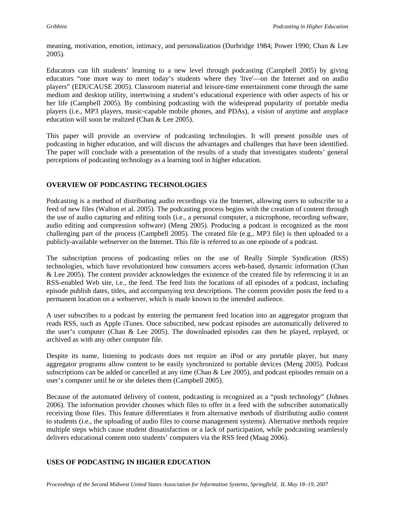meaning, motivation, emotion, intimacy, and personalization (Durbridge 1984; Power 1990; Chan & Lee 2005).

Educators can lift students' learning to a new level through podcasting (Campbell 2005) by giving educators "one more way to meet today's students where they 'live'—on the Internet and on audio players" (EDUCAUSE 2005). Classroom material and leisure-time entertainment come through the same medium and desktop utility, intertwining a student's educational experience with other aspects of his or her life (Campbell 2005). By combining podcasting with the widespread popularity of portable media players (i.e., MP3 players, music-capable mobile phones, and PDAs), a vision of anytime and anyplace education will soon be realized (Chan & Lee 2005).

This paper will provide an overview of podcasting technologies. It will present possible uses of podcasting in higher education, and will discuss the advantages and challenges that have been identified. The paper will conclude with a presentation of the results of a study that investigates students' general perceptions of podcasting technology as a learning tool in higher education.

# **OVERVIEW OF PODCASTING TECHNOLOGIES**

Podcasting is a method of distributing audio recordings via the Internet, allowing users to subscribe to a feed of new files (Walton et al. 2005). The podcasting process begins with the creation of content through the use of audio capturing and editing tools (i.e., a personal computer, a microphone, recording software, audio editing and compression software) (Meng 2005). Producing a podcast is recognized as the most challenging part of the process (Campbell 2005). The created file (e.g., MP3 file) is then uploaded to a publicly-available webserver on the Internet. This file is referred to as one episode of a podcast.

The subscription process of podcasting relies on the use of Really Simple Syndication (RSS) technologies, which have revolutionized how consumers access web-based, dynamic information (Chan & Lee 2005). The content provider acknowledges the existence of the created file by referencing it in an RSS-enabled Web site, i.e., the feed. The feed lists the locations of all episodes of a podcast, including episode publish dates, titles, and accompanying text descriptions. The content provider posts the feed to a permanent location on a webserver, which is made known to the intended audience.

A user subscribes to a podcast by entering the permanent feed location into an aggregator program that reads RSS, such as Apple iTunes. Once subscribed, new podcast episodes are automatically delivered to the user's computer (Chan & Lee 2005). The downloaded episodes can then be played, replayed, or archived as with any other computer file.

Despite its name, listening to podcasts does not require an iPod or any portable player, but many aggregator programs allow content to be easily synchronized to portable devices (Meng 2005). Podcast subscriptions can be added or cancelled at any time (Chan & Lee 2005), and podcast episodes remain on a user's computer until he or she deletes them (Campbell 2005).

Because of the automated delivery of content, podcasting is recognized as a "push technology" (Johnes 2006). The information provider chooses which files to offer in a feed with the subscriber automatically receiving those files. This feature differentiates it from alternative methods of distributing audio content to students (i.e., the uploading of audio files to course management systems). Alternative methods require multiple steps which cause student dissatisfaction or a lack of participation, while podcasting seamlessly delivers educational content onto students' computers via the RSS feed (Maag 2006).

### **USES OF PODCASTING IN HIGHER EDUCATION**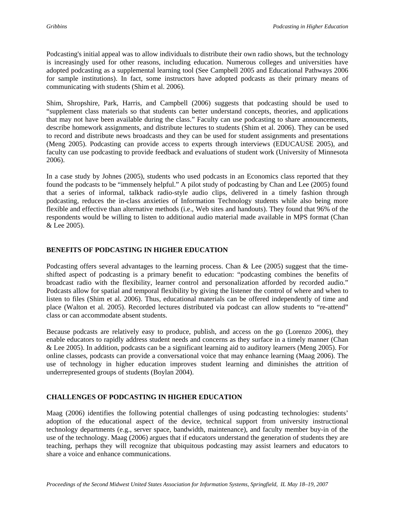Podcasting's initial appeal was to allow individuals to distribute their own radio shows, but the technology is increasingly used for other reasons, including education. Numerous colleges and universities have adopted podcasting as a supplemental learning tool (See Campbell 2005 and Educational Pathways 2006 for sample institutions). In fact, some instructors have adopted podcasts as their primary means of communicating with students (Shim et al. 2006).

Shim, Shropshire, Park, Harris, and Campbell (2006) suggests that podcasting should be used to "supplement class materials so that students can better understand concepts, theories, and applications that may not have been available during the class." Faculty can use podcasting to share announcements, describe homework assignments, and distribute lectures to students (Shim et al. 2006). They can be used to record and distribute news broadcasts and they can be used for student assignments and presentations (Meng 2005). Podcasting can provide access to experts through interviews (EDUCAUSE 2005), and faculty can use podcasting to provide feedback and evaluations of student work (University of Minnesota 2006).

In a case study by Johnes (2005), students who used podcasts in an Economics class reported that they found the podcasts to be "immensely helpful." A pilot study of podcasting by Chan and Lee (2005) found that a series of informal, talkback radio-style audio clips, delivered in a timely fashion through podcasting, reduces the in-class anxieties of Information Technology students while also being more flexible and effective than alternative methods (i.e., Web sites and handouts). They found that 96% of the respondents would be willing to listen to additional audio material made available in MPS format (Chan & Lee 2005).

# **BENEFITS OF PODCASTING IN HIGHER EDUCATION**

Podcasting offers several advantages to the learning process. Chan & Lee (2005) suggest that the timeshifted aspect of podcasting is a primary benefit to education: "podcasting combines the benefits of broadcast radio with the flexibility, learner control and personalization afforded by recorded audio." Podcasts allow for spatial and temporal flexibility by giving the listener the control of where and when to listen to files (Shim et al. 2006). Thus, educational materials can be offered independently of time and place (Walton et al. 2005). Recorded lectures distributed via podcast can allow students to "re-attend" class or can accommodate absent students.

Because podcasts are relatively easy to produce, publish, and access on the go (Lorenzo 2006), they enable educators to rapidly address student needs and concerns as they surface in a timely manner (Chan & Lee 2005). In addition, podcasts can be a significant learning aid to auditory learners (Meng 2005). For online classes, podcasts can provide a conversational voice that may enhance learning (Maag 2006). The use of technology in higher education improves student learning and diminishes the attrition of underrepresented groups of students (Boylan 2004).

# **CHALLENGES OF PODCASTING IN HIGHER EDUCATION**

Maag (2006) identifies the following potential challenges of using podcasting technologies: students' adoption of the educational aspect of the device, technical support from university instructional technology departments (e.g., server space, bandwidth, maintenance), and faculty member buy-in of the use of the technology. Maag (2006) argues that if educators understand the generation of students they are teaching, perhaps they will recognize that ubiquitous podcasting may assist learners and educators to share a voice and enhance communications.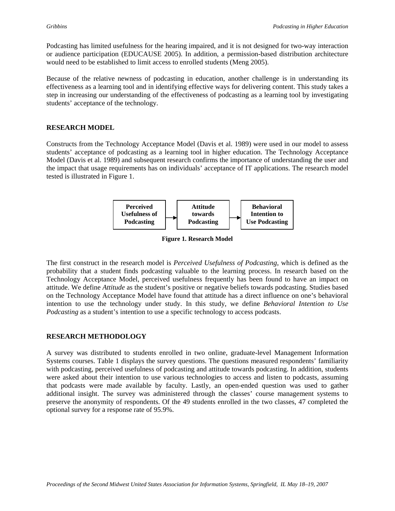Podcasting has limited usefulness for the hearing impaired, and it is not designed for two-way interaction or audience participation (EDUCAUSE 2005). In addition, a permission-based distribution architecture would need to be established to limit access to enrolled students (Meng 2005).

Because of the relative newness of podcasting in education, another challenge is in understanding its effectiveness as a learning tool and in identifying effective ways for delivering content. This study takes a step in increasing our understanding of the effectiveness of podcasting as a learning tool by investigating students' acceptance of the technology.

# **RESEARCH MODEL**

Constructs from the Technology Acceptance Model (Davis et al. 1989) were used in our model to assess students' acceptance of podcasting as a learning tool in higher education. The Technology Acceptance Model (Davis et al. 1989) and subsequent research confirms the importance of understanding the user and the impact that usage requirements has on individuals' acceptance of IT applications. The research model tested is illustrated in Figure 1.



**Figure 1. Research Model** 

The first construct in the research model is *Perceived Usefulness of Podcasting*, which is defined as the probability that a student finds podcasting valuable to the learning process. In research based on the Technology Acceptance Model, perceived usefulness frequently has been found to have an impact on attitude. We define *Attitude* as the student's positive or negative beliefs towards podcasting. Studies based on the Technology Acceptance Model have found that attitude has a direct influence on one's behavioral intention to use the technology under study. In this study, we define *Behavioral Intention to Use Podcasting* as a student's intention to use a specific technology to access podcasts.

### **RESEARCH METHODOLOGY**

A survey was distributed to students enrolled in two online, graduate-level Management Information Systems courses. Table 1 displays the survey questions. The questions measured respondents' familiarity with podcasting, perceived usefulness of podcasting and attitude towards podcasting. In addition, students were asked about their intention to use various technologies to access and listen to podcasts, assuming that podcasts were made available by faculty. Lastly, an open-ended question was used to gather additional insight. The survey was administered through the classes' course management systems to preserve the anonymity of respondents. Of the 49 students enrolled in the two classes, 47 completed the optional survey for a response rate of 95.9%.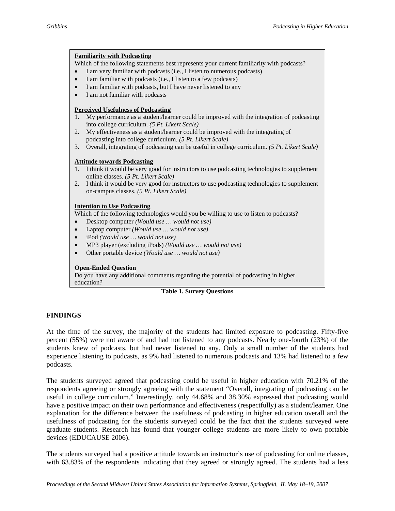#### **Familiarity with Podcasting**

Which of the following statements best represents your current familiarity with podcasts?

- I am very familiar with podcasts (i.e., I listen to numerous podcasts)
- I am familiar with podcasts (i.e., I listen to a few podcasts)
- I am familiar with podcasts, but I have never listened to any
- I am not familiar with podcasts

#### **Perceived Usefulness of Podcasting**

- 1. My performance as a student/learner could be improved with the integration of podcasting into college curriculum. *(5 Pt. Likert Scale)*
- 2. My effectiveness as a student/learner could be improved with the integrating of podcasting into college curriculum. *(5 Pt. Likert Scale)*
- 3. Overall, integrating of podcasting can be useful in college curriculum. *(5 Pt. Likert Scale)*

#### **Attitude towards Podcasting**

- 1. I think it would be very good for instructors to use podcasting technologies to supplement online classes. *(5 Pt. Likert Scale)*
- 2. I think it would be very good for instructors to use podcasting technologies to supplement on-campus classes. *(5 Pt. Likert Scale)*

#### **Intention to Use Podcasting**

Which of the following technologies would you be willing to use to listen to podcasts?

- Desktop computer *(Would use … would not use)*
- Laptop computer *(Would use … would not use)*
- iPod *(Would use … would not use)*
- MP3 player (excluding iPods) *(Would use … would not use)*
- Other portable device *(Would use … would not use)*

#### **Open-Ended Question**

Do you have any additional comments regarding the potential of podcasting in higher education?

#### **Table 1. Survey Questions**

### **FINDINGS**

At the time of the survey, the majority of the students had limited exposure to podcasting. Fifty-five percent (55%) were not aware of and had not listened to any podcasts. Nearly one-fourth (23%) of the students knew of podcasts, but had never listened to any. Only a small number of the students had experience listening to podcasts, as 9% had listened to numerous podcasts and 13% had listened to a few podcasts.

The students surveyed agreed that podcasting could be useful in higher education with 70.21% of the respondents agreeing or strongly agreeing with the statement "Overall, integrating of podcasting can be useful in college curriculum." Interestingly, only 44.68% and 38.30% expressed that podcasting would have a positive impact on their own performance and effectiveness (respectfully) as a student/learner. One explanation for the difference between the usefulness of podcasting in higher education overall and the usefulness of podcasting for the students surveyed could be the fact that the students surveyed were graduate students. Research has found that younger college students are more likely to own portable devices (EDUCAUSE 2006).

The students surveyed had a positive attitude towards an instructor's use of podcasting for online classes, with 63.83% of the respondents indicating that they agreed or strongly agreed. The students had a less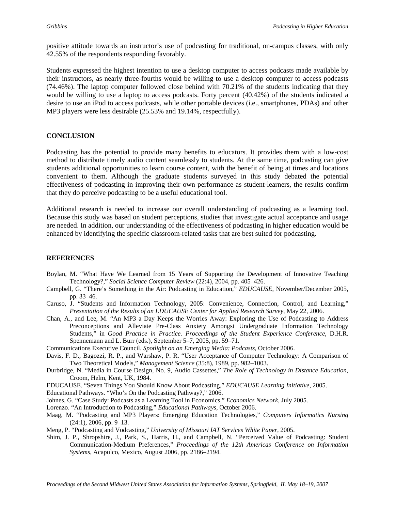positive attitude towards an instructor's use of podcasting for traditional, on-campus classes, with only 42.55% of the respondents responding favorably.

Students expressed the highest intention to use a desktop computer to access podcasts made available by their instructors, as nearly three-fourths would be willing to use a desktop computer to access podcasts (74.46%). The laptop computer followed close behind with 70.21% of the students indicating that they would be willing to use a laptop to access podcasts. Forty percent (40.42%) of the students indicated a desire to use an iPod to access podcasts, while other portable devices (i.e., smartphones, PDAs) and other MP3 players were less desirable (25.53% and 19.14%, respectfully).

#### **CONCLUSION**

Podcasting has the potential to provide many benefits to educators. It provides them with a low-cost method to distribute timely audio content seamlessly to students. At the same time, podcasting can give students additional opportunities to learn course content, with the benefit of being at times and locations convenient to them. Although the graduate students surveyed in this study debated the potential effectiveness of podcasting in improving their own performance as student-learners, the results confirm that they do perceive podcasting to be a useful educational tool.

Additional research is needed to increase our overall understanding of podcasting as a learning tool. Because this study was based on student perceptions, studies that investigate actual acceptance and usage are needed. In addition, our understanding of the effectiveness of podcasting in higher education would be enhanced by identifying the specific classroom-related tasks that are best suited for podcasting.

### **REFERENCES**

- Boylan, M. "What Have We Learned from 15 Years of Supporting the Development of Innovative Teaching Technology?," *Social Science Computer Review* (22:4), 2004, pp. 405–426.
- Campbell, G. "There's Something in the Air: Podcasting in Education," *EDUCAUSE*, November/December 2005, pp. 33–46.
- Caruso, J. "Students and Information Technology, 2005: Convenience, Connection, Control, and Learning," *Presentation of the Results of an EDUCAUSE Center for Applied Research Survey*, May 22, 2006.
- Chan, A., and Lee, M. "An MP3 a Day Keeps the Worries Away: Exploring the Use of Podcasting to Address Preconceptions and Alleviate Pre-Class Anxiety Amongst Undergraduate Information Technology Students," in *Good Practice in Practice. Proceedings of the Student Experience Conference*, D.H.R. Spennemann and L. Burr (eds.), September 5–7, 2005, pp. 59–71.
- Communications Executive Council. *Spotlight on an Emerging Media: Podcasts*, October 2006.
- Davis, F. D., Bagozzi, R. P., and Warshaw, P. R. "User Acceptance of Computer Technology: A Comparison of Two Theoretical Models," *Management Science* (35:8), 1989, pp. 982–1003.
- Durbridge, N. "Media in Course Design, No. 9, Audio Cassettes," *The Role of Technology in Distance Education*, Croom, Helm, Kent, UK, 1984.
- EDUCAUSE. "Seven Things You Should Know About Podcasting," *EDUCAUSE Learning Initiative,* 2005.
- Educational Pathways. "Who's On the Podcasting Pathway?," 2006.
- Johnes, G. "Case Study: Podcasts as a Learning Tool in Economics," *Economics Network*, July 2005.
- Lorenzo. "An Introduction to Podcasting," *Educational Pathways*, October 2006.
- Maag, M. "Podcasting and MP3 Players: Emerging Education Technologies," *Computers Informatics Nursing* (24:1), 2006, pp. 9–13.
- Meng, P. "Podcasting and Vodcasting," *University of Missouri IAT Services White Paper,* 2005.
- Shim, J. P., Shropshire, J., Park, S., Harris, H., and Campbell, N. "Perceived Value of Podcasting: Student Communication-Medium Preferences," *Proceedings of the 12th Americas Conference on Information Systems*, Acapulco, Mexico, August 2006, pp. 2186–2194.